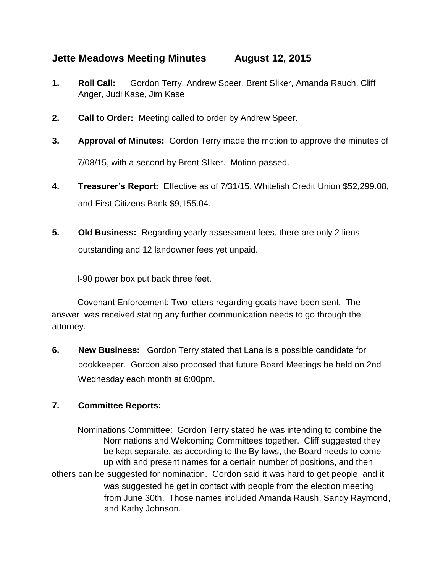## **Jette Meadows Meeting Minutes August 12, 2015**

- **1. Roll Call:** Gordon Terry, Andrew Speer, Brent Sliker, Amanda Rauch, Cliff Anger, Judi Kase, Jim Kase
- **2. Call to Order:** Meeting called to order by Andrew Speer.
- **3. Approval of Minutes:** Gordon Terry made the motion to approve the minutes of 7/08/15, with a second by Brent Sliker. Motion passed.
- **4. Treasurer's Report:** Effective as of 7/31/15, Whitefish Credit Union \$52,299.08, and First Citizens Bank \$9,155.04.
- **5. Old Business:** Regarding yearly assessment fees, there are only 2 liens outstanding and 12 landowner fees yet unpaid.

I-90 power box put back three feet.

Covenant Enforcement: Two letters regarding goats have been sent. The answer was received stating any further communication needs to go through the attorney.

**6. New Business:** Gordon Terry stated that Lana is a possible candidate for bookkeeper. Gordon also proposed that future Board Meetings be held on 2nd Wednesday each month at 6:00pm.

## **7. Committee Reports:**

Nominations Committee: Gordon Terry stated he was intending to combine the Nominations and Welcoming Committees together. Cliff suggested they be kept separate, as according to the By-laws, the Board needs to come up with and present names for a certain number of positions, and then others can be suggested for nomination. Gordon said it was hard to get people, and it was suggested he get in contact with people from the election meeting from June 30th. Those names included Amanda Raush, Sandy Raymond, and Kathy Johnson.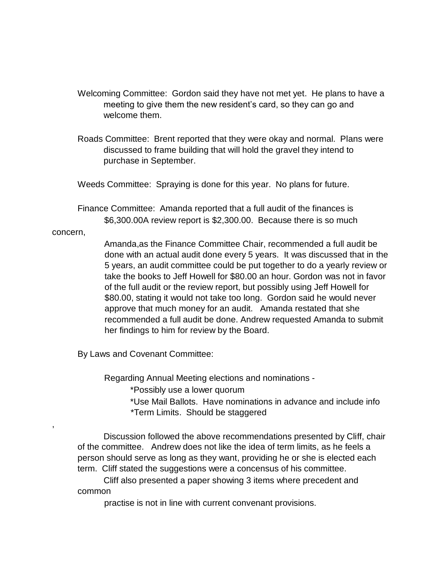- Welcoming Committee: Gordon said they have not met yet. He plans to have a meeting to give them the new resident's card, so they can go and welcome them.
- Roads Committee: Brent reported that they were okay and normal. Plans were discussed to frame building that will hold the gravel they intend to purchase in September.

Weeds Committee: Spraying is done for this year. No plans for future.

Finance Committee: Amanda reported that a full audit of the finances is \$6,300.00A review report is \$2,300.00. Because there is so much

## concern,

,

Amanda,as the Finance Committee Chair, recommended a full audit be done with an actual audit done every 5 years. It was discussed that in the 5 years, an audit committee could be put together to do a yearly review or take the books to Jeff Howell for \$80.00 an hour. Gordon was not in favor of the full audit or the review report, but possibly using Jeff Howell for \$80.00, stating it would not take too long. Gordon said he would never approve that much money for an audit. Amanda restated that she recommended a full audit be done. Andrew requested Amanda to submit her findings to him for review by the Board.

By Laws and Covenant Committee:

Regarding Annual Meeting elections and nominations -

\*Possibly use a lower quorum

\*Use Mail Ballots. Have nominations in advance and include info \*Term Limits. Should be staggered

Discussion followed the above recommendations presented by Cliff, chair of the committee. Andrew does not like the idea of term limits, as he feels a person should serve as long as they want, providing he or she is elected each term. Cliff stated the suggestions were a concensus of his committee.

Cliff also presented a paper showing 3 items where precedent and common

practise is not in line with current convenant provisions.